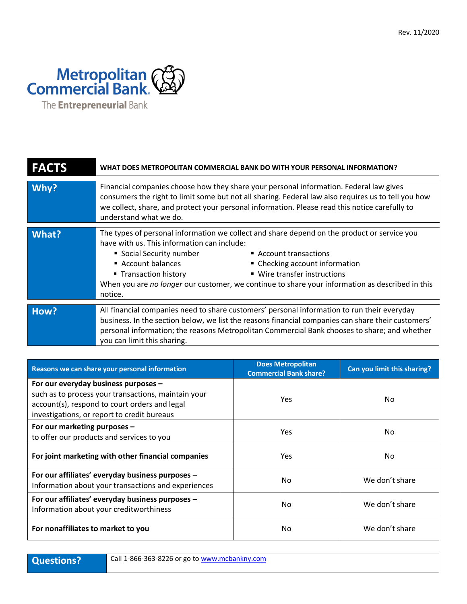

| <b>FACTS</b> | WHAT DOES METROPOLITAN COMMERCIAL BANK DO WITH YOUR PERSONAL INFORMATION?                                                                                                                                                                                                                                                                                                                                                     |  |
|--------------|-------------------------------------------------------------------------------------------------------------------------------------------------------------------------------------------------------------------------------------------------------------------------------------------------------------------------------------------------------------------------------------------------------------------------------|--|
| Why?         | Financial companies choose how they share your personal information. Federal law gives<br>consumers the right to limit some but not all sharing. Federal law also requires us to tell you how<br>we collect, share, and protect your personal information. Please read this notice carefully to<br>understand what we do.                                                                                                     |  |
| What?        | The types of personal information we collect and share depend on the product or service you<br>have with us. This information can include:<br>• Social Security number<br>■ Account transactions<br>Account balances<br>• Checking account information<br>■ Wire transfer instructions<br>■ Transaction history<br>When you are no longer our customer, we continue to share your information as described in this<br>notice. |  |
| How?         | All financial companies need to share customers' personal information to run their everyday<br>business. In the section below, we list the reasons financial companies can share their customers'<br>personal information; the reasons Metropolitan Commercial Bank chooses to share; and whether<br>you can limit this sharing.                                                                                              |  |

| Reasons we can share your personal information                                                                                                                                              | <b>Does Metropolitan</b><br><b>Commercial Bank share?</b> | Can you limit this sharing? |
|---------------------------------------------------------------------------------------------------------------------------------------------------------------------------------------------|-----------------------------------------------------------|-----------------------------|
| For our everyday business purposes -<br>such as to process your transactions, maintain your<br>account(s), respond to court orders and legal<br>investigations, or report to credit bureaus | <b>Yes</b>                                                | No.                         |
| For our marketing purposes -<br>to offer our products and services to you                                                                                                                   | <b>Yes</b>                                                | No                          |
| For joint marketing with other financial companies                                                                                                                                          | <b>Yes</b>                                                | No.                         |
| For our affiliates' everyday business purposes -<br>Information about your transactions and experiences                                                                                     | No.                                                       | We don't share              |
| For our affiliates' everyday business purposes -<br>Information about your creditworthiness                                                                                                 | No.                                                       | We don't share              |
| For nonaffiliates to market to you                                                                                                                                                          | No.                                                       | We don't share              |